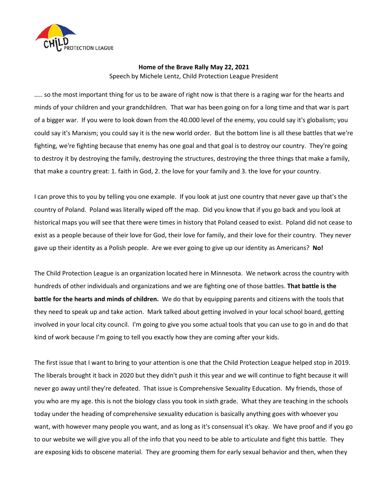

## **Home of the Brave Rally May 22, 2021** Speech by Michele Lentz, Child Protection League President

….. so the most important thing for us to be aware of right now is that there is a raging war for the hearts and minds of your children and your grandchildren. That war has been going on for a long time and that war is part of a bigger war. If you were to look down from the 40.000 level of the enemy, you could say it's globalism; you could say it's Marxism; you could say it is the new world order. But the bottom line is all these battles that we're fighting, we're fighting because that enemy has one goal and that goal is to destroy our country. They're going to destroy it by destroying the family, destroying the structures, destroying the three things that make a family, that make a country great: 1. faith in God, 2. the love for your family and 3. the love for your country.

I can prove this to you by telling you one example. If you look at just one country that never gave up that's the country of Poland. Poland was literally wiped off the map. Did you know that if you go back and you look at historical maps you will see that there were times in history that Poland ceased to exist. Poland did not cease to exist as a people because of their love for God, their love for family, and their love for their country. They never gave up their identity as a Polish people. Are we ever going to give up our identity as Americans? **No!**

The Child Protection League is an organization located here in Minnesota. We network across the country with hundreds of other individuals and organizations and we are fighting one of those battles. **That battle is the battle for the hearts and minds of children.** We do that by equipping parents and citizens with the tools that they need to speak up and take action. Mark talked about getting involved in your local school board, getting involved in your local city council. I'm going to give you some actual tools that you can use to go in and do that kind of work because I'm going to tell you exactly how they are coming after your kids.

The first issue that I want to bring to your attention is one that the Child Protection League helped stop in 2019. The liberals brought it back in 2020 but they didn't push it this year and we will continue to fight because it will never go away until they're defeated. That issue is Comprehensive Sexuality Education. My friends, those of you who are my age. this is not the biology class you took in sixth grade. What they are teaching in the schools today under the heading of comprehensive sexuality education is basically anything goes with whoever you want, with however many people you want, and as long as it's consensual it's okay. We have proof and if you go to our website we will give you all of the info that you need to be able to articulate and fight this battle. They are exposing kids to obscene material. They are grooming them for early sexual behavior and then, when they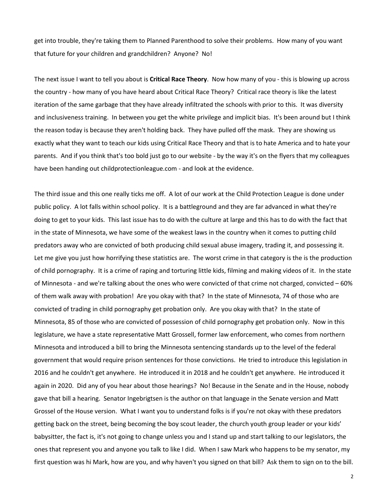get into trouble, they're taking them to Planned Parenthood to solve their problems. How many of you want that future for your children and grandchildren? Anyone? No!

The next issue I want to tell you about is **Critical Race Theory**. Now how many of you - this is blowing up across the country - how many of you have heard about Critical Race Theory? Critical race theory is like the latest iteration of the same garbage that they have already infiltrated the schools with prior to this. It was diversity and inclusiveness training. In between you get the white privilege and implicit bias. It's been around but I think the reason today is because they aren't holding back. They have pulled off the mask. They are showing us exactly what they want to teach our kids using Critical Race Theory and that is to hate America and to hate your parents. And if you think that's too bold just go to our website - by the way it's on the flyers that my colleagues have been handing out childprotectionleague.com - and look at the evidence.

The third issue and this one really ticks me off. A lot of our work at the Child Protection League is done under public policy. A lot falls within school policy. It is a battleground and they are far advanced in what they're doing to get to your kids. This last issue has to do with the culture at large and this has to do with the fact that in the state of Minnesota, we have some of the weakest laws in the country when it comes to putting child predators away who are convicted of both producing child sexual abuse imagery, trading it, and possessing it. Let me give you just how horrifying these statistics are. The worst crime in that category is the is the production of child pornography. It is a crime of raping and torturing little kids, filming and making videos of it. In the state of Minnesota - and we're talking about the ones who were convicted of that crime not charged, convicted – 60% of them walk away with probation! Are you okay with that? In the state of Minnesota, 74 of those who are convicted of trading in child pornography get probation only. Are you okay with that? In the state of Minnesota, 85 of those who are convicted of possession of child pornography get probation only. Now in this legislature, we have a state representative Matt Grossell, former law enforcement, who comes from northern Minnesota and introduced a bill to bring the Minnesota sentencing standards up to the level of the federal government that would require prison sentences for those convictions. He tried to introduce this legislation in 2016 and he couldn't get anywhere. He introduced it in 2018 and he couldn't get anywhere. He introduced it again in 2020. Did any of you hear about those hearings? No! Because in the Senate and in the House, nobody gave that bill a hearing. Senator Ingebrigtsen is the author on that language in the Senate version and Matt Grossel of the House version. What I want you to understand folks is if you're not okay with these predators getting back on the street, being becoming the boy scout leader, the church youth group leader or your kids' babysitter, the fact is, it's not going to change unless you and I stand up and start talking to our legislators, the ones that represent you and anyone you talk to like I did. When I saw Mark who happens to be my senator, my first question was hi Mark, how are you, and why haven't you signed on that bill? Ask them to sign on to the bill.